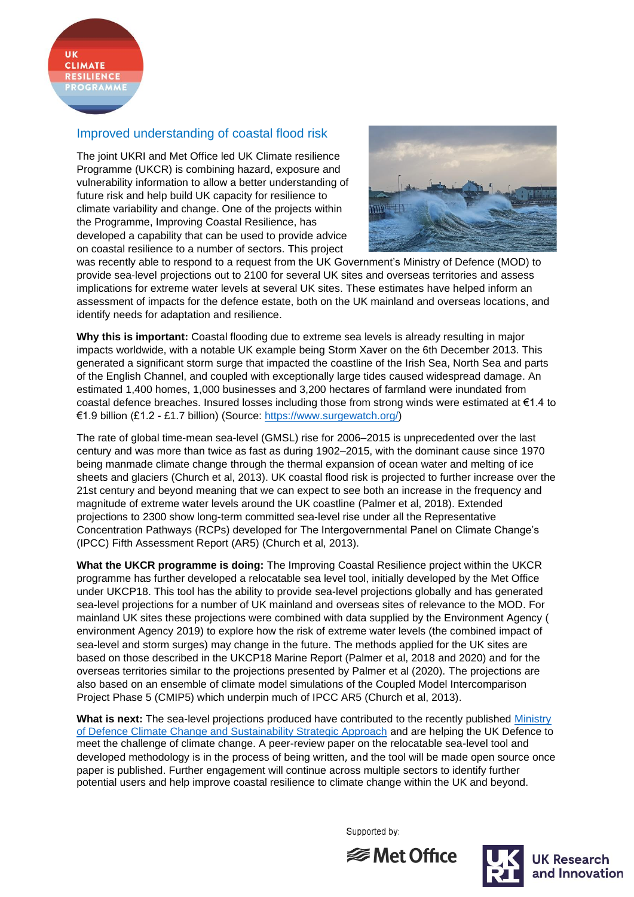## Improved understanding of coastal flood risk

The joint UKRI and Met Office led UK Climate resilience Programme (UKCR) is combining hazard, exposure and vulnerability information to allow a better understanding of future risk and help build UK capacity for resilience to climate variability and change. One of the projects within the Programme, Improving Coastal Resilience, has developed a capability that can be used to provide advice on coastal resilience to a number of sectors. This project



was recently able to respond to a request from the UK Government's Ministry of Defence (MOD) to provide sea-level projections out to 2100 for several UK sites and overseas territories and assess implications for extreme water levels at several UK sites. These estimates have helped inform an assessment of impacts for the defence estate, both on the UK mainland and overseas locations, and identify needs for adaptation and resilience.

**Why this is important:** Coastal flooding due to extreme sea levels is already resulting in major impacts worldwide, with a notable UK example being Storm Xaver on the 6th December 2013. This generated a significant storm surge that impacted the coastline of the Irish Sea, North Sea and parts of the English Channel, and coupled with exceptionally large tides caused widespread damage. An estimated 1,400 homes, 1,000 businesses and 3,200 hectares of farmland were inundated from coastal defence breaches. Insured losses including those from strong winds were estimated at  $\epsilon$ 1.4 to €1.9 billion (£1.2 - £1.7 billion) (Source: [https://www.surgewatch.org/\)](https://www.surgewatch.org/)

The rate of global time-mean sea-level (GMSL) rise for 2006–2015 is unprecedented over the last century and was more than twice as fast as during 1902–2015, with the dominant cause since 1970 being manmade climate change through the thermal expansion of ocean water and melting of ice sheets and glaciers (Church et al, 2013). UK coastal flood risk is projected to further increase over the 21st century and beyond meaning that we can expect to see both an increase in the frequency and magnitude of extreme water levels around the UK coastline (Palmer et al, 2018). Extended projections to 2300 show long-term committed sea-level rise under all the Representative Concentration Pathways (RCPs) developed for The Intergovernmental Panel on Climate Change's (IPCC) Fifth Assessment Report (AR5) (Church et al, 2013).

**What the UKCR programme is doing:** The Improving Coastal Resilience project within the UKCR programme has further developed a relocatable sea level tool, initially developed by the Met Office under UKCP18. This tool has the ability to provide sea-level projections globally and has generated sea-level projections for a number of UK mainland and overseas sites of relevance to the MOD. For mainland UK sites these projections were combined with data supplied by the Environment Agency ( environment Agency 2019) to explore how the risk of extreme water levels (the combined impact of sea-level and storm surges) may change in the future. The methods applied for the UK sites are based on those described in the UKCP18 Marine Report (Palmer et al, 2018 and 2020) and for the overseas territories similar to the projections presented by Palmer et al (2020). The projections are also based on an ensemble of climate model simulations of the Coupled Model Intercomparison Project Phase 5 (CMIP5) which underpin much of IPCC AR5 (Church et al, 2013).

**What is next:** The sea-level projections produced have contributed to the recently published [Ministry](https://www.gov.uk/government/publications/ministry-of-defence-climate-change-and-sustainability-strategic-approach)  [of Defence Climate Change and Sustainability Strategic Approach](https://www.gov.uk/government/publications/ministry-of-defence-climate-change-and-sustainability-strategic-approach) and are helping the UK Defence to meet the challenge of climate change. A peer-review paper on the relocatable sea-level tool and developed methodology is in the process of being written, and the tool will be made open source once paper is published. Further engagement will continue across multiple sectors to identify further potential users and help improve coastal resilience to climate change within the UK and beyond.

Supported by: